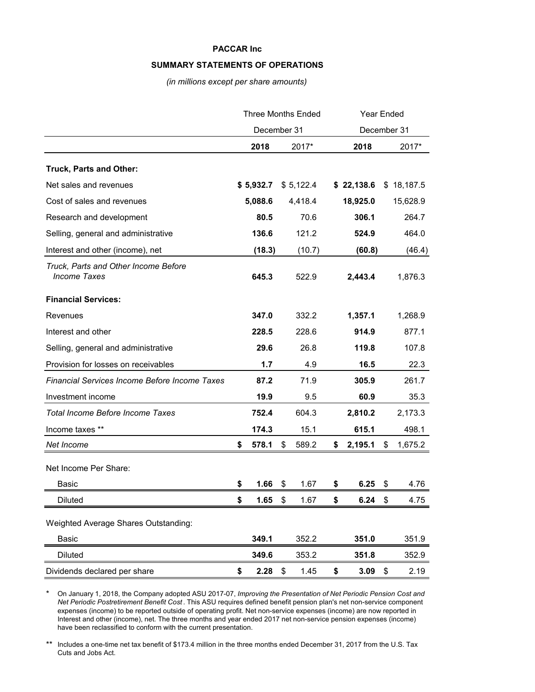#### **SUMMARY STATEMENTS OF OPERATIONS**

*(in millions except per share amounts)*

|                                                             | <b>Three Months Ended</b> |           |      | Year Ended  |               |    |            |
|-------------------------------------------------------------|---------------------------|-----------|------|-------------|---------------|----|------------|
|                                                             | December 31               |           |      | December 31 |               |    |            |
|                                                             |                           | 2018      |      | 2017*       | 2018          |    | 2017*      |
| Truck, Parts and Other:                                     |                           |           |      |             |               |    |            |
| Net sales and revenues                                      |                           | \$5,932.7 |      | \$5,122.4   | \$22,138.6    |    | \$18,187.5 |
| Cost of sales and revenues                                  |                           | 5,088.6   |      | 4,418.4     | 18,925.0      |    | 15,628.9   |
| Research and development                                    |                           | 80.5      |      | 70.6        | 306.1         |    | 264.7      |
| Selling, general and administrative                         |                           | 136.6     |      | 121.2       | 524.9         |    | 464.0      |
| Interest and other (income), net                            |                           | (18.3)    |      | (10.7)      | (60.8)        |    | (46.4)     |
| Truck, Parts and Other Income Before<br><b>Income Taxes</b> |                           | 645.3     |      | 522.9       | 2,443.4       |    | 1,876.3    |
| <b>Financial Services:</b>                                  |                           |           |      |             |               |    |            |
| Revenues                                                    |                           | 347.0     |      | 332.2       | 1,357.1       |    | 1,268.9    |
| Interest and other                                          |                           | 228.5     |      | 228.6       | 914.9         |    | 877.1      |
| Selling, general and administrative                         |                           | 29.6      |      | 26.8        | 119.8         |    | 107.8      |
| Provision for losses on receivables                         |                           | 1.7       |      | 4.9         | 16.5          |    | 22.3       |
| <b>Financial Services Income Before Income Taxes</b>        |                           | 87.2      |      | 71.9        | 305.9         |    | 261.7      |
| Investment income                                           |                           | 19.9      |      | 9.5         | 60.9          |    | 35.3       |
| Total Income Before Income Taxes                            |                           | 752.4     |      | 604.3       | 2,810.2       |    | 2,173.3    |
| Income taxes **                                             |                           | 174.3     |      | 15.1        | 615.1         |    | 498.1      |
| Net Income                                                  | S.                        | 578.1     | \$   | 589.2       | \$<br>2,195.1 | \$ | 1,675.2    |
| Net Income Per Share:                                       |                           |           |      |             |               |    |            |
| <b>Basic</b>                                                | \$                        | 1.66      | \$   | 1.67        | \$<br>6.25    | \$ | 4.76       |
| Diluted                                                     | \$                        | 1.65      | - \$ | 1.67        | \$<br>6.24    | \$ | 4.75       |
|                                                             |                           |           |      |             |               |    |            |
| Weighted Average Shares Outstanding:                        |                           |           |      |             |               |    |            |
| Basic                                                       |                           | 349.1     |      | 352.2       | 351.0         |    | 351.9      |
| <b>Diluted</b>                                              |                           | 349.6     |      | 353.2       | 351.8         |    | 352.9      |
| Dividends declared per share                                | \$                        | 2.28      | \$   | 1.45        | \$<br>3.09    | \$ | 2.19       |

\* On January 1, 2018, the Company adopted ASU 2017-07, *Improving the Presentation of Net Periodic Pension Cost and Net Periodic Postretirement Benefit Cost* . This ASU requires defined benefit pension plan's net non-service component expenses (income) to be reported outside of operating profit. Net non-service expenses (income) are now reported in Interest and other (income), net. The three months and year ended 2017 net non-service pension expenses (income) have been reclassified to conform with the current presentation.

\*\* Includes a one-time net tax benefit of \$173.4 million in the three months ended December 31, 2017 from the U.S. Tax Cuts and Jobs Act.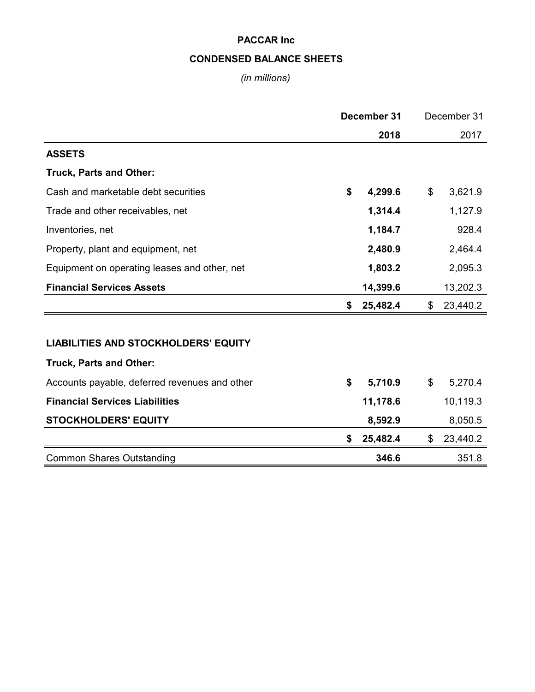# **CONDENSED BALANCE SHEETS**

# *(in millions)*

|                                               | December 31 |          |    | December 31 |  |
|-----------------------------------------------|-------------|----------|----|-------------|--|
|                                               | 2018        |          |    | 2017        |  |
| <b>ASSETS</b>                                 |             |          |    |             |  |
| Truck, Parts and Other:                       |             |          |    |             |  |
| Cash and marketable debt securities           | \$          | 4,299.6  | \$ | 3,621.9     |  |
| Trade and other receivables, net              |             | 1,314.4  |    | 1,127.9     |  |
| Inventories, net                              |             | 1,184.7  |    | 928.4       |  |
| Property, plant and equipment, net            |             | 2,480.9  |    | 2,464.4     |  |
| Equipment on operating leases and other, net  |             | 1,803.2  |    | 2,095.3     |  |
| <b>Financial Services Assets</b>              |             | 14,399.6 |    | 13,202.3    |  |
|                                               | \$          | 25,482.4 | \$ | 23,440.2    |  |
|                                               |             |          |    |             |  |
| <b>LIABILITIES AND STOCKHOLDERS' EQUITY</b>   |             |          |    |             |  |
| <b>Truck, Parts and Other:</b>                |             |          |    |             |  |
| Accounts payable, deferred revenues and other | \$          | 5,710.9  | \$ | 5,270.4     |  |
| <b>Financial Services Liabilities</b>         |             | 11,178.6 |    | 10,119.3    |  |
| <b>STOCKHOLDERS' EQUITY</b>                   |             | 8,592.9  |    | 8,050.5     |  |
|                                               | \$          | 25,482.4 | \$ | 23,440.2    |  |
| <b>Common Shares Outstanding</b>              |             | 346.6    |    | 351.8       |  |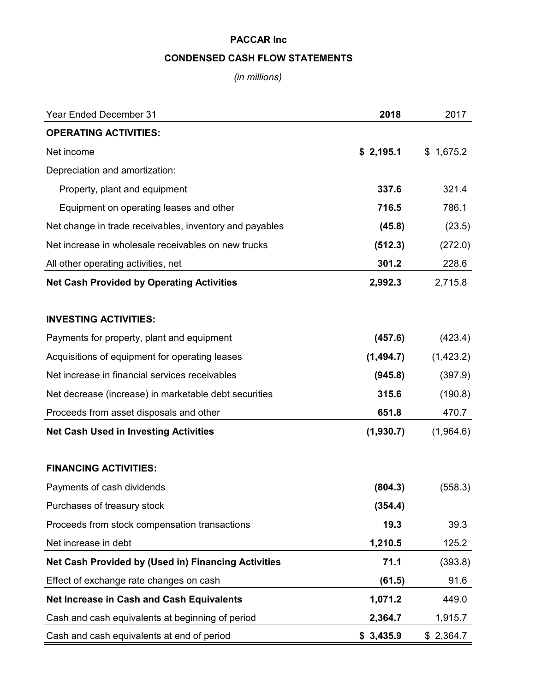# **CONDENSED CASH FLOW STATEMENTS**

*(in millions)*

| <b>Year Ended December 31</b>                              | 2018      | 2017      |
|------------------------------------------------------------|-----------|-----------|
| <b>OPERATING ACTIVITIES:</b>                               |           |           |
| Net income                                                 | \$2,195.1 | \$1,675.2 |
| Depreciation and amortization:                             |           |           |
| Property, plant and equipment                              | 337.6     | 321.4     |
| Equipment on operating leases and other                    | 716.5     | 786.1     |
| Net change in trade receivables, inventory and payables    | (45.8)    | (23.5)    |
| Net increase in wholesale receivables on new trucks        | (512.3)   | (272.0)   |
| All other operating activities, net                        | 301.2     | 228.6     |
| <b>Net Cash Provided by Operating Activities</b>           | 2,992.3   | 2,715.8   |
| <b>INVESTING ACTIVITIES:</b>                               |           |           |
| Payments for property, plant and equipment                 | (457.6)   | (423.4)   |
| Acquisitions of equipment for operating leases             | (1,494.7) | (1,423.2) |
| Net increase in financial services receivables             | (945.8)   | (397.9)   |
| Net decrease (increase) in marketable debt securities      | 315.6     | (190.8)   |
| Proceeds from asset disposals and other                    | 651.8     | 470.7     |
| <b>Net Cash Used in Investing Activities</b>               | (1,930.7) | (1,964.6) |
| <b>FINANCING ACTIVITIES:</b>                               |           |           |
| Payments of cash dividends                                 | (804.3)   | (558.3)   |
| Purchases of treasury stock                                | (354.4)   |           |
| Proceeds from stock compensation transactions              | 19.3      | 39.3      |
| Net increase in debt                                       | 1,210.5   | 125.2     |
| <b>Net Cash Provided by (Used in) Financing Activities</b> | 71.1      | (393.8)   |
| Effect of exchange rate changes on cash                    | (61.5)    | 91.6      |
| Net Increase in Cash and Cash Equivalents                  | 1,071.2   | 449.0     |
| Cash and cash equivalents at beginning of period           | 2,364.7   | 1,915.7   |
| Cash and cash equivalents at end of period                 | \$3,435.9 | \$2,364.7 |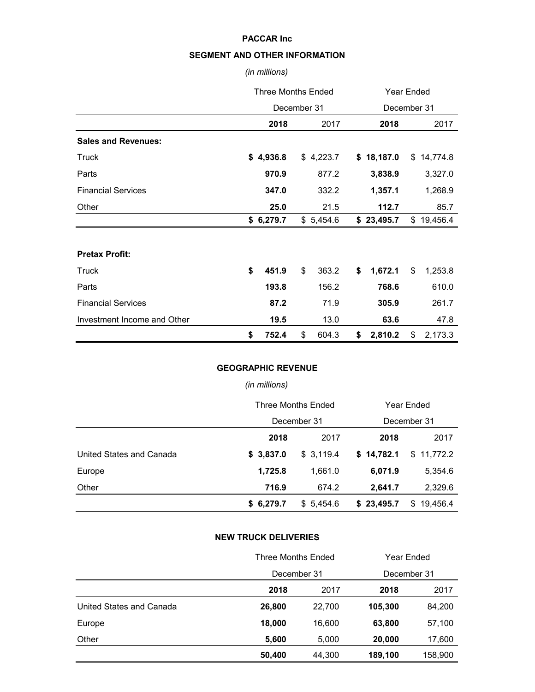## **SEGMENT AND OTHER INFORMATION**

### *(in millions)*

|                             | <b>Three Months Ended</b> |           |    |             | <b>Year Ended</b> |            |    |            |  |
|-----------------------------|---------------------------|-----------|----|-------------|-------------------|------------|----|------------|--|
|                             | December 31               |           |    | December 31 |                   |            |    |            |  |
|                             |                           | 2018      |    | 2017        |                   | 2018       |    | 2017       |  |
| <b>Sales and Revenues:</b>  |                           |           |    |             |                   |            |    |            |  |
| <b>Truck</b>                |                           | \$4,936.8 |    | \$4,223.7   |                   | \$18,187.0 |    | \$14,774.8 |  |
| Parts                       |                           | 970.9     |    | 877.2       |                   | 3,838.9    |    | 3,327.0    |  |
| <b>Financial Services</b>   | 347.0                     |           |    | 332.2       |                   | 1,357.1    |    | 1,268.9    |  |
| Other                       |                           | 25.0      |    | 21.5        |                   | 112.7      |    | 85.7       |  |
|                             |                           | \$6,279.7 |    | \$5,454.6   |                   | \$23,495.7 |    | \$19,456.4 |  |
|                             |                           |           |    |             |                   |            |    |            |  |
| <b>Pretax Profit:</b>       |                           |           |    |             |                   |            |    |            |  |
| Truck                       | \$                        | 451.9     | \$ | 363.2       | \$                | 1,672.1    | \$ | 1,253.8    |  |
| Parts                       |                           | 193.8     |    | 156.2       |                   | 768.6      |    | 610.0      |  |
| <b>Financial Services</b>   |                           | 87.2      |    | 71.9        |                   | 305.9      |    | 261.7      |  |
| Investment Income and Other |                           | 19.5      |    | 13.0        |                   | 63.6       |    | 47.8       |  |
|                             | \$                        | 752.4     | \$ | 604.3       | \$                | 2,810.2    | \$ | 2,173.3    |  |

### **GEOGRAPHIC REVENUE**

## *(in millions)*

|                          |           | <b>Three Months Ended</b> | Year Ended |                |  |  |
|--------------------------|-----------|---------------------------|------------|----------------|--|--|
|                          |           | December 31               |            | December 31    |  |  |
|                          | 2018      | 2017                      | 2018       | 2017           |  |  |
| United States and Canada | \$3,837.0 | \$3,119.4                 | \$14,782.1 | \$11,772.2     |  |  |
| Europe                   | 1,725.8   | 1,661.0                   | 6,071.9    | 5,354.6        |  |  |
| Other                    | 716.9     | 674.2                     | 2,641.7    | 2,329.6        |  |  |
|                          | \$6,279.7 | \$5,454.6                 | \$23,495.7 | 19,456.4<br>\$ |  |  |

### **NEW TRUCK DELIVERIES**

|                          | <b>Three Months Ended</b> | Year Ended |             |         |  |
|--------------------------|---------------------------|------------|-------------|---------|--|
|                          | December 31               |            | December 31 |         |  |
|                          | 2018                      | 2017       | 2018        | 2017    |  |
| United States and Canada | 26,800                    | 22,700     | 105,300     | 84,200  |  |
| Europe                   | 18,000                    | 16.600     | 63,800      | 57,100  |  |
| Other                    | 5,600                     | 5,000      | 20,000      | 17,600  |  |
|                          | 50,400                    | 44.300     | 189,100     | 158,900 |  |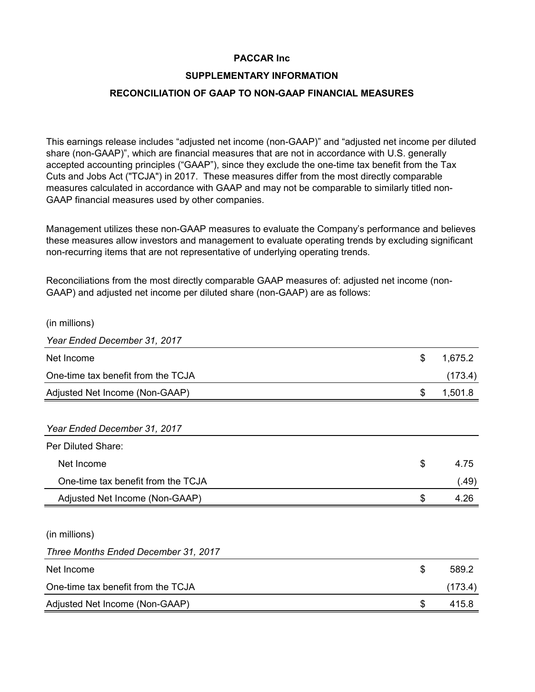## **SUPPLEMENTARY INFORMATION**

## **RECONCILIATION OF GAAP TO NON-GAAP FINANCIAL MEASURES**

This earnings release includes "adjusted net income (non-GAAP)" and "adjusted net income per diluted share (non-GAAP)", which are financial measures that are not in accordance with U.S. generally accepted accounting principles ("GAAP"), since they exclude the one-time tax benefit from the Tax Cuts and Jobs Act ("TCJA") in 2017. These measures differ from the most directly comparable measures calculated in accordance with GAAP and may not be comparable to similarly titled non-GAAP financial measures used by other companies.

Management utilizes these non-GAAP measures to evaluate the Company's performance and believes these measures allow investors and management to evaluate operating trends by excluding significant non-recurring items that are not representative of underlying operating trends.

Reconciliations from the most directly comparable GAAP measures of: adjusted net income (non-GAAP) and adjusted net income per diluted share (non-GAAP) are as follows:

| (in millions)                        |               |
|--------------------------------------|---------------|
| Year Ended December 31, 2017         |               |
| Net Income                           | \$<br>1,675.2 |
| One-time tax benefit from the TCJA   | (173.4)       |
| Adjusted Net Income (Non-GAAP)       | \$<br>1,501.8 |
|                                      |               |
| Year Ended December 31, 2017         |               |
| Per Diluted Share:                   |               |
| Net Income                           | \$<br>4.75    |
| One-time tax benefit from the TCJA   | (.49)         |
| Adjusted Net Income (Non-GAAP)       | \$<br>4.26    |
|                                      |               |
| (in millions)                        |               |
| Three Months Ended December 31, 2017 |               |
| Net Income                           | \$<br>589.2   |
| One-time tax benefit from the TCJA   | (173.4)       |
| Adjusted Net Income (Non-GAAP)       | \$<br>415.8   |